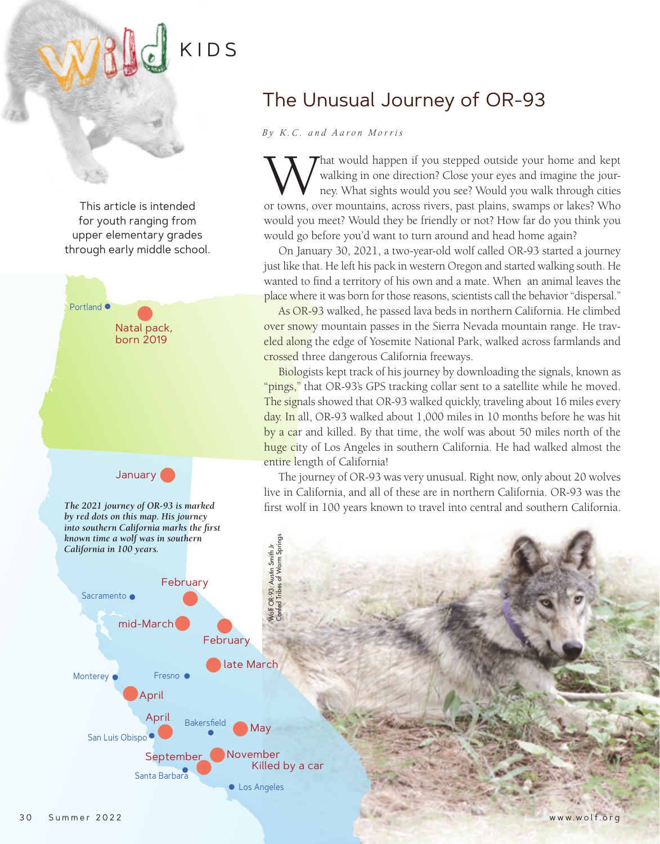### This article is intended for youth ranging from upper elementary grades through early middle school.

KIDS



# The Unusual Journey of OR-93

*By K.C. and Aaron Morris*

 $\boldsymbol{T}$ hat would happen if you stepped outside your home and kept walking in one direction? Close your eyes and imagine the journey. What sights would you see? Would you walk through cities or towns, over mountains, across rivers, past plains, swamps or lakes? Who would you meet? Would they be friendly or not? How far do you think you would go before you'd want to turn around and head home again?

On January 30, 2021, a two-year-old wolf called OR-93 started a journey just like that. He left his pack in western Oregon and started walking south. He wanted to find a territory of his own and a mate. When an animal leaves the place where it was born for those reasons, scientists call the behavior "dispersal."

As OR-93 walked, he passed lava beds in northern California. He climbed over snowy mountain passes in the Sierra Nevada mountain range. He traveled along the edge of Yosemite National Park, walked across farmlands and crossed three dangerous California freeways.

Biologists kept track of his journey by downloading the signals, known as "pings," that OR-93's GPS tracking collar sent to a satellite while he moved. The signals showed that OR-93 walked quickly, traveling about 16 miles every day. In all, OR-93 walked about 1,000 miles in 10 months before he was hit by a car and killed. By that time, the wolf was about 50 miles north of the huge city of Los Angeles in southern California. He had walked almost the entire length of California!

The journey of OR-93 was very unusual. Right now, only about 20 wolves live in California, and all of these are in northern California. OR-93 was the first wolf in 100 years known to travel into central and southern California.